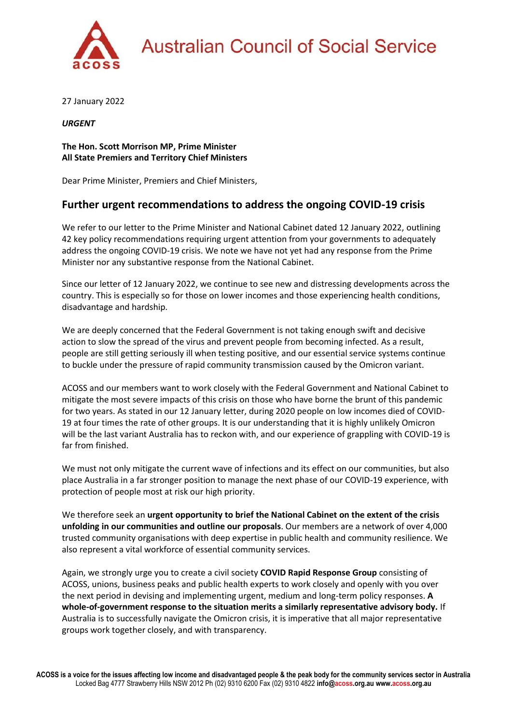

27 January 2022

*URGENT*

**The Hon. Scott Morrison MP, Prime Minister All State Premiers and Territory Chief Ministers**

Dear Prime Minister, Premiers and Chief Ministers,

# **Further urgent recommendations to address the ongoing COVID-19 crisis**

We refer to our letter to the Prime Minister and National Cabinet dated 12 January 2022, outlining 42 key policy recommendations requiring urgent attention from your governments to adequately address the ongoing COVID-19 crisis. We note we have not yet had any response from the Prime Minister nor any substantive response from the National Cabinet.

Since our letter of 12 January 2022, we continue to see new and distressing developments across the country. This is especially so for those on lower incomes and those experiencing health conditions, disadvantage and hardship.

We are deeply concerned that the Federal Government is not taking enough swift and decisive action to slow the spread of the virus and prevent people from becoming infected. As a result, people are still getting seriously ill when testing positive, and our essential service systems continue to buckle under the pressure of rapid community transmission caused by the Omicron variant.

ACOSS and our members want to work closely with the Federal Government and National Cabinet to mitigate the most severe impacts of this crisis on those who have borne the brunt of this pandemic for two years. As stated in our 12 January letter, during 2020 people on low incomes died of COVID-19 at four times the rate of other groups. It is our understanding that it is highly unlikely Omicron will be the last variant Australia has to reckon with, and our experience of grappling with COVID-19 is far from finished.

We must not only mitigate the current wave of infections and its effect on our communities, but also place Australia in a far stronger position to manage the next phase of our COVID-19 experience, with protection of people most at risk our high priority.

We therefore seek an **urgent opportunity to brief the National Cabinet on the extent of the crisis unfolding in our communities and outline our proposals**. Our members are a network of over 4,000 trusted community organisations with deep expertise in public health and community resilience. We also represent a vital workforce of essential community services.

Again, we strongly urge you to create a civil society **COVID Rapid Response Group** consisting of ACOSS, unions, business peaks and public health experts to work closely and openly with you over the next period in devising and implementing urgent, medium and long-term policy responses. **A whole-of-government response to the situation merits a similarly representative advisory body.** If Australia is to successfully navigate the Omicron crisis, it is imperative that all major representative groups work together closely, and with transparency.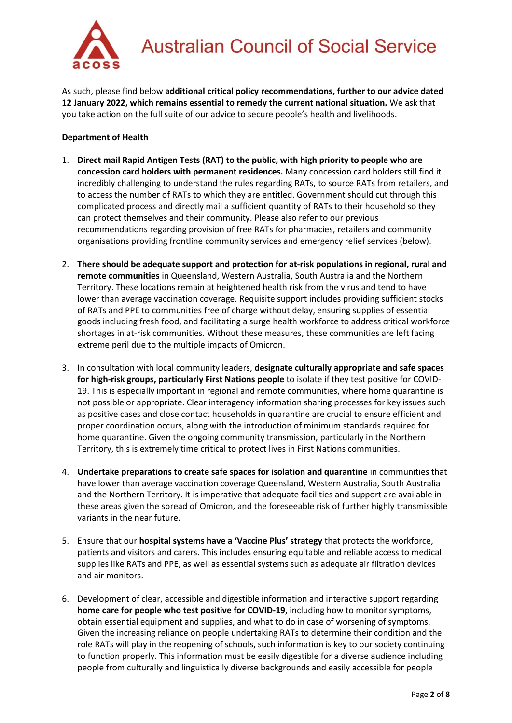

As such, please find below **additional critical policy recommendations, further to our advice dated 12 January 2022, which remains essential to remedy the current national situation.** We ask that you take action on the full suite of our advice to secure people's health and livelihoods.

## **Department of Health**

- 1. **Direct mail Rapid Antigen Tests (RAT) to the public, with high priority to people who are concession card holders with permanent residences.** Many concession card holders still find it incredibly challenging to understand the rules regarding RATs, to source RATs from retailers, and to access the number of RATs to which they are entitled. Government should cut through this complicated process and directly mail a sufficient quantity of RATs to their household so they can protect themselves and their community. Please also refer to our previous recommendations regarding provision of free RATs for pharmacies, retailers and community organisations providing frontline community services and emergency relief services (below).
- 2. **There should be adequate support and protection for at-risk populations in regional, rural and remote communities** in Queensland, Western Australia, South Australia and the Northern Territory. These locations remain at heightened health risk from the virus and tend to have lower than average vaccination coverage. Requisite support includes providing sufficient stocks of RATs and PPE to communities free of charge without delay, ensuring supplies of essential goods including fresh food, and facilitating a surge health workforce to address critical workforce shortages in at-risk communities. Without these measures, these communities are left facing extreme peril due to the multiple impacts of Omicron.
- 3. In consultation with local community leaders, **designate culturally appropriate and safe spaces for high-risk groups, particularly First Nations people** to isolate if they test positive for COVID-19. This is especially important in regional and remote communities, where home quarantine is not possible or appropriate. Clear interagency information sharing processes for key issues such as positive cases and close contact households in quarantine are crucial to ensure efficient and proper coordination occurs, along with the introduction of minimum standards required for home quarantine. Given the ongoing community transmission, particularly in the Northern Territory, this is extremely time critical to protect lives in First Nations communities.
- 4. **Undertake preparations to create safe spaces for isolation and quarantine** in communities that have lower than average vaccination coverage Queensland, Western Australia, South Australia and the Northern Territory. It is imperative that adequate facilities and support are available in these areas given the spread of Omicron, and the foreseeable risk of further highly transmissible variants in the near future.
- 5. Ensure that our **hospital systems have a 'Vaccine Plus' strategy** that protects the workforce, patients and visitors and carers. This includes ensuring equitable and reliable access to medical supplies like RATs and PPE, as well as essential systems such as adequate air filtration devices and air monitors.
- 6. Development of clear, accessible and digestible information and interactive support regarding **home care for people who test positive for COVID-19**, including how to monitor symptoms, obtain essential equipment and supplies, and what to do in case of worsening of symptoms. Given the increasing reliance on people undertaking RATs to determine their condition and the role RATs will play in the reopening of schools, such information is key to our society continuing to function properly. This information must be easily digestible for a diverse audience including people from culturally and linguistically diverse backgrounds and easily accessible for people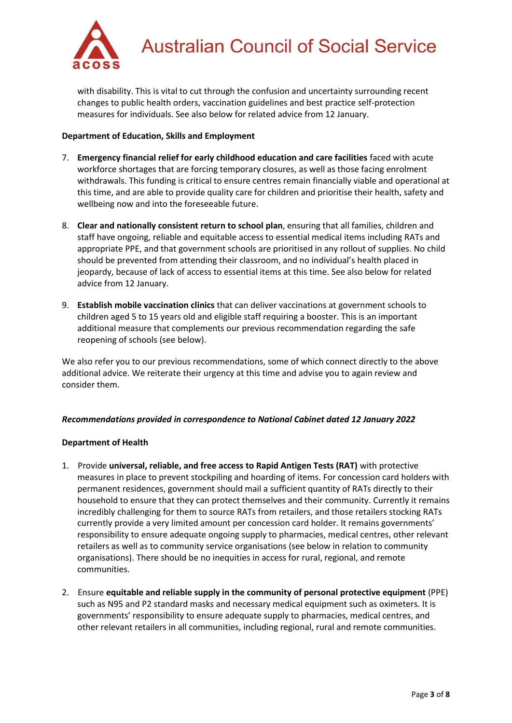

with disability. This is vital to cut through the confusion and uncertainty surrounding recent changes to public health orders, vaccination guidelines and best practice self-protection measures for individuals. See also below for related advice from 12 January.

## **Department of Education, Skills and Employment**

- 7. **Emergency financial relief for early childhood education and care facilities** faced with acute workforce shortages that are forcing temporary closures, as well as those facing enrolment withdrawals. This funding is critical to ensure centres remain financially viable and operational at this time, and are able to provide quality care for children and prioritise their health, safety and wellbeing now and into the foreseeable future.
- 8. **Clear and nationally consistent return to school plan**, ensuring that all families, children and staff have ongoing, reliable and equitable access to essential medical items including RATs and appropriate PPE, and that government schools are prioritised in any rollout of supplies. No child should be prevented from attending their classroom, and no individual's health placed in jeopardy, because of lack of access to essential items at this time. See also below for related advice from 12 January.
- 9. **Establish mobile vaccination clinics** that can deliver vaccinations at government schools to children aged 5 to 15 years old and eligible staff requiring a booster. This is an important additional measure that complements our previous recommendation regarding the safe reopening of schools (see below).

We also refer you to our previous recommendations, some of which connect directly to the above additional advice. We reiterate their urgency at this time and advise you to again review and consider them.

#### *Recommendations provided in correspondence to National Cabinet dated 12 January 2022*

#### **Department of Health**

- 1. Provide **universal, reliable, and free access to Rapid Antigen Tests (RAT)** with protective measures in place to prevent stockpiling and hoarding of items. For concession card holders with permanent residences, government should mail a sufficient quantity of RATs directly to their household to ensure that they can protect themselves and their community. Currently it remains incredibly challenging for them to source RATs from retailers, and those retailers stocking RATs currently provide a very limited amount per concession card holder. It remains governments' responsibility to ensure adequate ongoing supply to pharmacies, medical centres, other relevant retailers as well as to community service organisations (see below in relation to community organisations). There should be no inequities in access for rural, regional, and remote communities.
- 2. Ensure **equitable and reliable supply in the community of personal protective equipment** (PPE) such as N95 and P2 standard masks and necessary medical equipment such as oximeters. It is governments' responsibility to ensure adequate supply to pharmacies, medical centres, and other relevant retailers in all communities, including regional, rural and remote communities.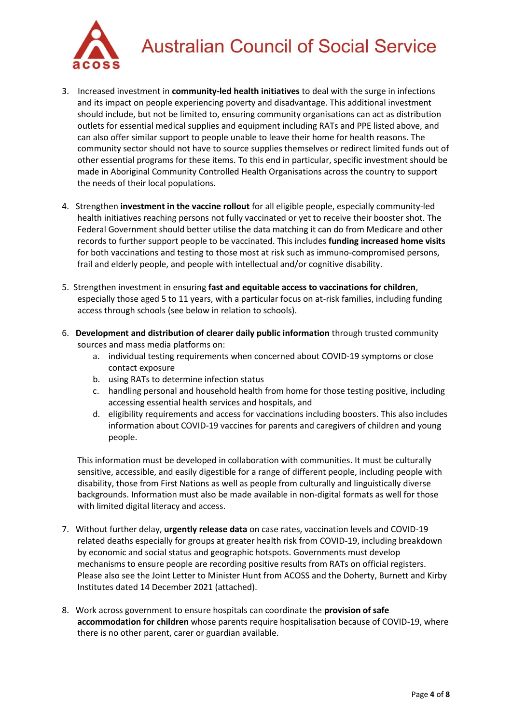

# **Australian Council of Social Service**

- 3. Increased investment in **community-led health initiatives** to deal with the surge in infections and its impact on people experiencing poverty and disadvantage. This additional investment should include, but not be limited to, ensuring community organisations can act as distribution outlets for essential medical supplies and equipment including RATs and PPE listed above, and can also offer similar support to people unable to leave their home for health reasons. The community sector should not have to source supplies themselves or redirect limited funds out of other essential programs for these items. To this end in particular, specific investment should be made in Aboriginal Community Controlled Health Organisations across the country to support the needs of their local populations.
- 4. Strengthen **investment in the vaccine rollout** for all eligible people, especially community-led health initiatives reaching persons not fully vaccinated or yet to receive their booster shot. The Federal Government should better utilise the data matching it can do from Medicare and other records to further support people to be vaccinated. This includes **funding increased home visits** for both vaccinations and testing to those most at risk such as immuno-compromised persons, frail and elderly people, and people with intellectual and/or cognitive disability.
- 5. Strengthen investment in ensuring **fast and equitable access to vaccinations for children**, especially those aged 5 to 11 years, with a particular focus on at-risk families, including funding access through schools (see below in relation to schools).
- 6. **Development and distribution of clearer daily public information** through trusted community sources and mass media platforms on:
	- a. individual testing requirements when concerned about COVID-19 symptoms or close contact exposure
	- b. using RATs to determine infection status
	- c. handling personal and household health from home for those testing positive, including accessing essential health services and hospitals, and
	- d. eligibility requirements and access for vaccinations including boosters. This also includes information about COVID-19 vaccines for parents and caregivers of children and young people.

This information must be developed in collaboration with communities. It must be culturally sensitive, accessible, and easily digestible for a range of different people, including people with disability, those from First Nations as well as people from culturally and linguistically diverse backgrounds. Information must also be made available in non-digital formats as well for those with limited digital literacy and access.

- 7. Without further delay, **urgently release data** on case rates, vaccination levels and COVID-19 related deaths especially for groups at greater health risk from COVID-19, including breakdown by economic and social status and geographic hotspots. Governments must develop mechanisms to ensure people are recording positive results from RATs on official registers. Please also see the Joint Letter to Minister Hunt from ACOSS and the Doherty, Burnett and Kirby Institutes dated 14 December 2021 (attached).
- 8. Work across government to ensure hospitals can coordinate the **provision of safe accommodation for children** whose parents require hospitalisation because of COVID-19, where there is no other parent, carer or guardian available.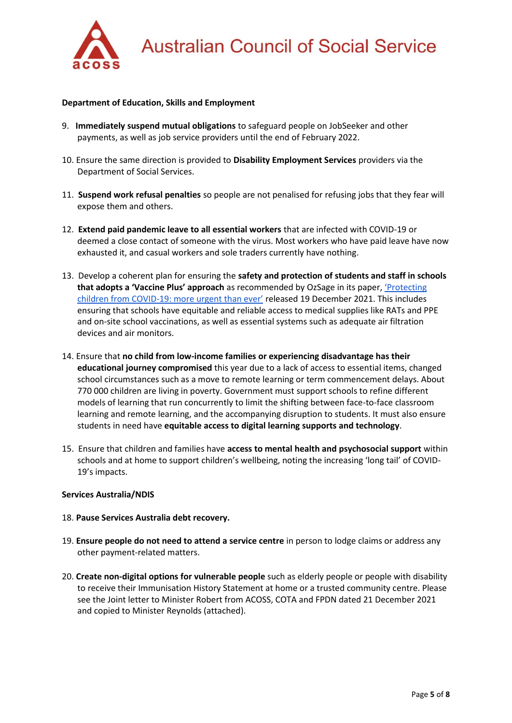

#### **Department of Education, Skills and Employment**

- 9. **Immediately suspend mutual obligations** to safeguard people on JobSeeker and other payments, as well as job service providers until the end of February 2022.
- 10. Ensure the same direction is provided to **Disability Employment Services** providers via the Department of Social Services.
- 11. **Suspend work refusal penalties** so people are not penalised for refusing jobs that they fear will expose them and others.
- 12. **Extend paid pandemic leave to all essential workers** that are infected with COVID-19 or deemed a close contact of someone with the virus. Most workers who have paid leave have now exhausted it, and casual workers and sole traders currently have nothing.
- 13. Develop a coherent plan for ensuring the **safety and protection of students and staff in schools that adopts a 'Vaccine Plus' approach** as recommended by OzSage in its paper, ['Protecting](https://ozsage.org/media_releases/omicron-update-children-schools-and-childcare/)  children from COVID-1[9: more urgent than ever'](https://ozsage.org/media_releases/omicron-update-children-schools-and-childcare/) released 19 December 2021. This includes ensuring that schools have equitable and reliable access to medical supplies like RATs and PPE and on-site school vaccinations, as well as essential systems such as adequate air filtration devices and air monitors.
- 14. Ensure that **no child from low-income families or experiencing disadvantage has their educational journey compromised** this year due to a lack of access to essential items, changed school circumstances such as a move to remote learning or term commencement delays. About 770 000 children are living in poverty. Government must support schools to refine different models of learning that run concurrently to limit the shifting between face-to-face classroom learning and remote learning, and the accompanying disruption to students. It must also ensure students in need have **equitable access to digital learning supports and technology**.
- 15. Ensure that children and families have **access to mental health and psychosocial support** within schools and at home to support children's wellbeing, noting the increasing 'long tail' of COVID-19's impacts.

#### **Services Australia/NDIS**

#### 18. **Pause Services Australia debt recovery.**

- 19. **Ensure people do not need to attend a service centre** in person to lodge claims or address any other payment-related matters.
- 20. **Create non-digital options for vulnerable people** such as elderly people or people with disability to receive their Immunisation History Statement at home or a trusted community centre. Please see the Joint letter to Minister Robert from ACOSS, COTA and FPDN dated 21 December 2021 and copied to Minister Reynolds (attached).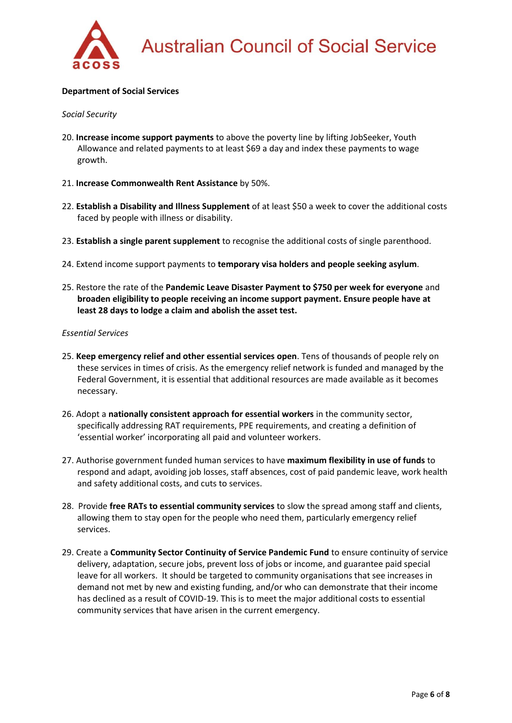

#### **Department of Social Services**

#### *Social Security*

- 20. **Increase income support payments** to above the poverty line by lifting JobSeeker, Youth Allowance and related payments to at least \$69 a day and index these payments to wage growth.
- 21. **Increase Commonwealth Rent Assistance** by 50%.
- 22. **Establish a Disability and Illness Supplement** of at least \$50 a week to cover the additional costs faced by people with illness or disability.
- 23. **Establish a single parent supplement** to recognise the additional costs of single parenthood.
- 24. Extend income support payments to **temporary visa holders and people seeking asylum**.
- 25. Restore the rate of the **Pandemic Leave Disaster Payment to \$750 per week for everyone** and **broaden eligibility to people receiving an income support payment. Ensure people have at least 28 days to lodge a claim and abolish the asset test.**

#### *Essential Services*

- 25. **Keep emergency relief and other essential services open**. Tens of thousands of people rely on these services in times of crisis. As the emergency relief network is funded and managed by the Federal Government, it is essential that additional resources are made available as it becomes necessary.
- 26. Adopt a **nationally consistent approach for essential workers** in the community sector, specifically addressing RAT requirements, PPE requirements, and creating a definition of 'essential worker' incorporating all paid and volunteer workers.
- 27. Authorise government funded human services to have **maximum flexibility in use of funds** to respond and adapt, avoiding job losses, staff absences, cost of paid pandemic leave, work health and safety additional costs, and cuts to services.
- 28. Provide **free RATs to essential community services** to slow the spread among staff and clients, allowing them to stay open for the people who need them, particularly emergency relief services.
- 29. Create a **Community Sector Continuity of Service Pandemic Fund** to ensure continuity of service delivery, adaptation, secure jobs, prevent loss of jobs or income, and guarantee paid special leave for all workers. It should be targeted to community organisations that see increases in demand not met by new and existing funding, and/or who can demonstrate that their income has declined as a result of COVID-19. This is to meet the major additional costs to essential community services that have arisen in the current emergency.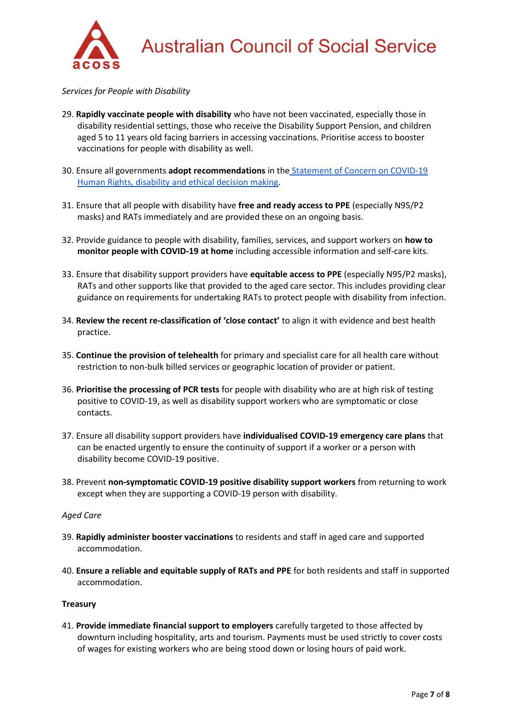

*Services for People with Disability*

- 29. **Rapidly vaccinate people with disability** who have not been vaccinated, especially those in disability residential settings, those who receive the Disability Support Pension, and children aged 5 to 11 years old facing barriers in accessing vaccinations. Prioritise access to booster vaccinations for people with disability as well.
- 30. Ensure all governments **adopt recommendations** in the [Statement of Concern on COVID-19](https://dpoa.org.au/wp-content/uploads/2020/04/Statement-of-Concern-COVID-19-Human-rights-disability-and-ethical-decision-making_Final.pdf)  [Human Rights, disability and ethical decision making.](https://dpoa.org.au/wp-content/uploads/2020/04/Statement-of-Concern-COVID-19-Human-rights-disability-and-ethical-decision-making_Final.pdf)
- 31. Ensure that all people with disability have **free and ready access to PPE** (especially N95/P2 masks) and RATs immediately and are provided these on an ongoing basis.
- 32. Provide guidance to people with disability, families, services, and support workers on **how to monitor people with COVID-19 at home** including accessible information and self-care kits.
- 33. Ensure that disability support providers have **equitable access to PPE** (especially N95/P2 masks), RATs and other supports like that provided to the aged care sector. This includes providing clear guidance on requirements for undertaking RATs to protect people with disability from infection.
- 34. **Review the recent re-classification of 'close contact'** to align it with evidence and best health practice.
- 35. **Continue the provision of telehealth** for primary and specialist care for all health care without restriction to non-bulk billed services or geographic location of provider or patient.
- 36. **Prioritise the processing of PCR tests** for people with disability who are at high risk of testing positive to COVID-19, as well as disability support workers who are symptomatic or close contacts.
- 37. Ensure all disability support providers have **individualised COVID-19 emergency care plans** that can be enacted urgently to ensure the continuity of support if a worker or a person with disability become COVID-19 positive.
- 38. Prevent **non-symptomatic COVID-19 positive disability support workers** from returning to work except when they are supporting a COVID-19 person with disability.

#### *Aged Care*

- 39. **Rapidly administer booster vaccinations** to residents and staff in aged care and supported accommodation.
- 40. **Ensure a reliable and equitable supply of RATs and PPE** for both residents and staff in supported accommodation.

#### **Treasury**

41. **Provide immediate financial support to employers** carefully targeted to those affected by downturn including hospitality, arts and tourism. Payments must be used strictly to cover costs of wages for existing workers who are being stood down or losing hours of paid work.